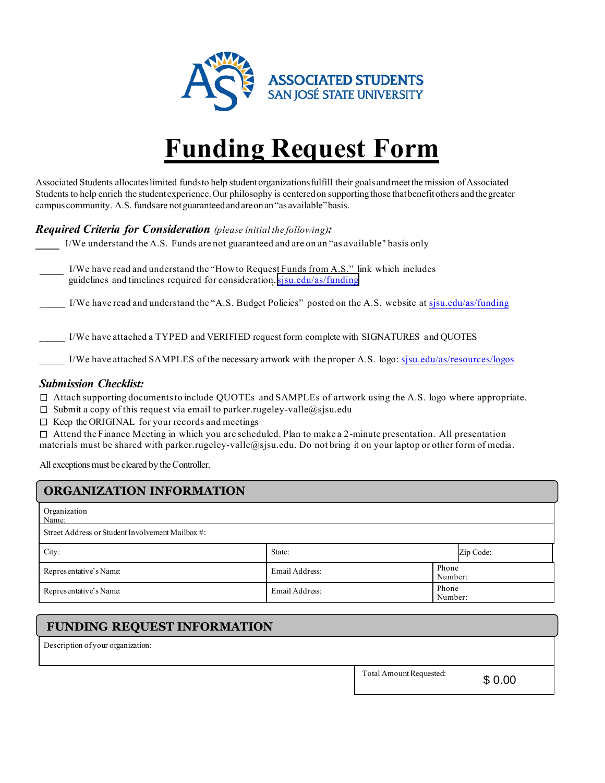

# **Funding Request Form**

Associated Students allocates limited funds to help student organizations fulfill their goals and meet the mission of Associated Students to help enrich the student experience. Our philosophy is centered on supporting those that benefit others and the greater campus community. A.S. funds are not guaranteed and are on an "as available" basis.

## *Required Criteria for Consideration (please initial the following):*

\_\_\_\_ I/We have read and understand the "How to Request Funds from A.S." link which includes guidelines and timelines required for consideration.[sjsu.edu/as/funding](https://www.sjsu.edu/as/funding/)

\_\_\_\_\_ I/We have read and understand the "A.S. Budget Policies" posted on the A.S. website at [sjsu.edu/as/funding](www.sjsu.edu/as/funding)

\_\_\_\_\_ I/We have attached a TYPED and VERIFIED request form complete with SIGNATURES and QUOTES

I/We have attached SAMPLES of the necessary artwork with the proper A.S. logo: [sjsu.edu/as](https://www.sjsu.edu/as/resources/logos)/resources/logos

#### *Submission Checklist:*

Attach supporting documentsto include QUOTEs and SAMPLEs of artwork using the A.S. logo where appropriate.

- $\Box$  Submit a copy of this request via email to parker.rugeley-valle@sjsu.edu
- $\square$  Keep the ORIGINAL for your records and meetings

 $\Box$  Attend the Finance Meeting in which you are scheduled. Plan to make a 2-minute presentation. All presentation materials must be shared with parker.rugeley-valle@sjsu.edu. Do not bring it on your laptop or other form of media.

All exceptions must be cleared by the Controller.

# **ORGANIZATION INFORMATION**

| Organization<br>Name:                            |                |                  |           |  |  |
|--------------------------------------------------|----------------|------------------|-----------|--|--|
| Street Address or Student Involvement Mailbox #: |                |                  |           |  |  |
| City:                                            | State:         |                  | Zip Code: |  |  |
| Representative's Name:                           | Email Address: | Phone<br>Number: |           |  |  |
| Representative's Name:                           | Email Address: | Phone<br>Number: |           |  |  |

## **FUNDING REQUEST INFORMATION**

Description of your organization:

Total Amount Requested:

\$ 0.00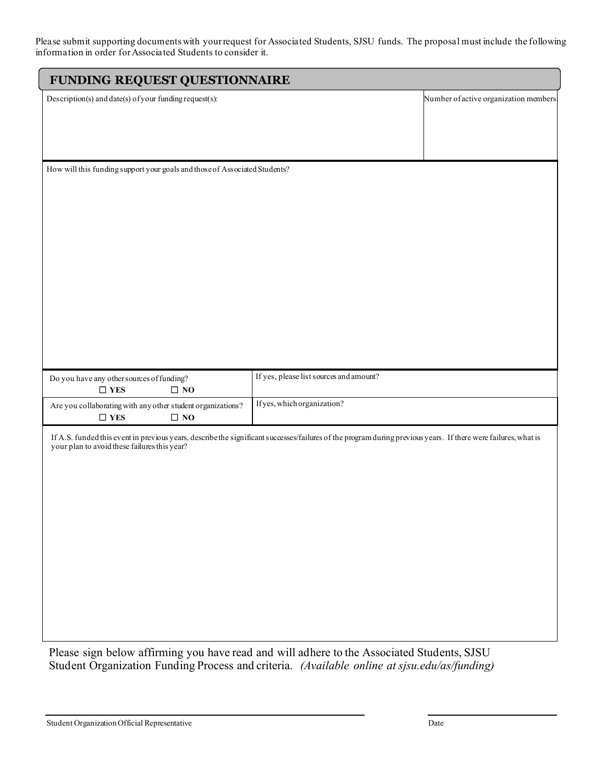Please submit supporting documents with your request for Associated Students, SJSU funds. The proposal must include the following information in order for Associated Students to consider it.

| FUNDING REQUEST QUESTIONNAIRE                                                                                                                                  |                                         |                                       |  |  |
|----------------------------------------------------------------------------------------------------------------------------------------------------------------|-----------------------------------------|---------------------------------------|--|--|
| Description(s) and date(s) of your funding request(s):                                                                                                         |                                         | Number of active organization members |  |  |
|                                                                                                                                                                |                                         |                                       |  |  |
|                                                                                                                                                                |                                         |                                       |  |  |
|                                                                                                                                                                |                                         |                                       |  |  |
|                                                                                                                                                                |                                         |                                       |  |  |
| How will this funding support your goals and those of Associated Students?                                                                                     |                                         |                                       |  |  |
|                                                                                                                                                                |                                         |                                       |  |  |
|                                                                                                                                                                |                                         |                                       |  |  |
|                                                                                                                                                                |                                         |                                       |  |  |
|                                                                                                                                                                |                                         |                                       |  |  |
|                                                                                                                                                                |                                         |                                       |  |  |
|                                                                                                                                                                |                                         |                                       |  |  |
|                                                                                                                                                                |                                         |                                       |  |  |
|                                                                                                                                                                |                                         |                                       |  |  |
|                                                                                                                                                                |                                         |                                       |  |  |
|                                                                                                                                                                |                                         |                                       |  |  |
|                                                                                                                                                                |                                         |                                       |  |  |
|                                                                                                                                                                |                                         |                                       |  |  |
| Do you have any other sources of funding?<br>$\Box$ YES<br>$\Box$ NO                                                                                           | If yes, please list sources and amount? |                                       |  |  |
| Are you collaborating with any other student organizations?                                                                                                    | If yes, which organization?             |                                       |  |  |
| $\Box$ YES<br>$\Box$ NO                                                                                                                                        |                                         |                                       |  |  |
| If A.S. funded this event in previous years, describe the significant successes/failures of the program during previous years. If there were failures, what is |                                         |                                       |  |  |
| your plan to avoid these failures this year?                                                                                                                   |                                         |                                       |  |  |
|                                                                                                                                                                |                                         |                                       |  |  |
|                                                                                                                                                                |                                         |                                       |  |  |
|                                                                                                                                                                |                                         |                                       |  |  |
|                                                                                                                                                                |                                         |                                       |  |  |
|                                                                                                                                                                |                                         |                                       |  |  |
|                                                                                                                                                                |                                         |                                       |  |  |
|                                                                                                                                                                |                                         |                                       |  |  |
|                                                                                                                                                                |                                         |                                       |  |  |
|                                                                                                                                                                |                                         |                                       |  |  |
|                                                                                                                                                                |                                         |                                       |  |  |
|                                                                                                                                                                |                                         |                                       |  |  |
|                                                                                                                                                                |                                         |                                       |  |  |

Please sign below affirming you have read and will adhere to the Associated Students, SJSU Student Organization Funding Process and criteria. *(Available online at sjsu.edu/as/funding)*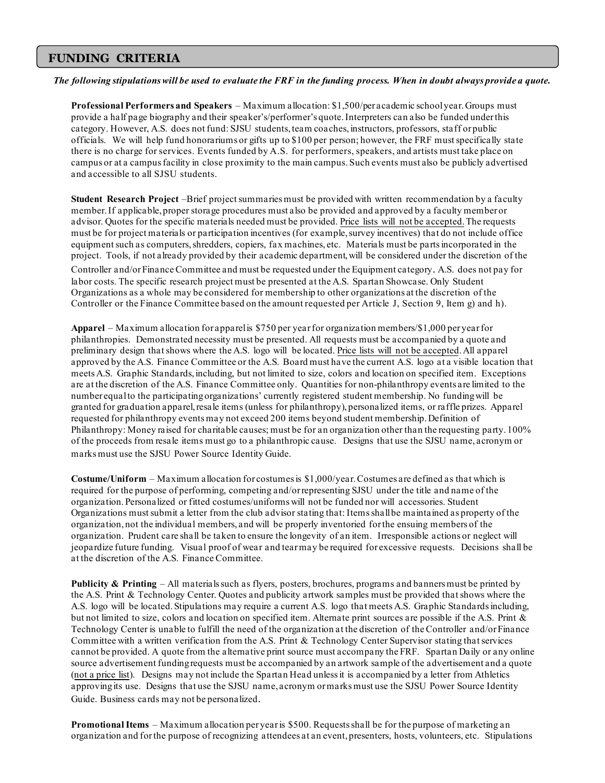## **FUNDING CRITERIA**

#### *The following stipulations will be used to evaluate the FRF in the funding process. When in doubt always provide a quote.*

**Professional Performers and Speakers** – Maximum allocation: \$1,500/per academic school year. Groups must provide a half page biography and their speaker's/performer's quote.Interpreters can also be funded under this category. However, A.S. does not fund: SJSU students, team coaches, instructors, professors, staff or public officials. We will help fund honorariums or gifts up to \$100 per person; however, the FRF must specifically state there is no charge for services. Events funded by A.S. for performers, speakers, and artists must take place on campus or at a campus facility in close proximity to the main campus. Such events must also be publicly advertised and accessible to all SJSU students.

**Student Research Project** –Brief project summaries must be provided with written recommendation by a faculty member. If applicable, proper storage procedures must also be provided and approved by a faculty member or advisor. Quotes for the specific materials needed must be provided. Price lists will not be accepted.The requests must be for project materials or participation incentives (for example, survey incentives) that do not include office equipment such as computers, shredders, copiers, fax machines, etc. Materials must be partsincorporated in the project. Tools, if not already provided by their academic department,will be considered under the discretion of the Controller and/or Finance Committee and must be requested under the Equipment category. A.S. does not pay for labor costs. The specific research project must be presented at the A.S. Spartan Showcase. Only Student Organizations as a whole may be considered for membership to other organizations at the discretion of the Controller or the Finance Committee based on the amount requested per Article J, Section 9, Item g) and h).

**Apparel** – Maximum allocation for apparelis \$750 per year for organization members/\$1,000 per year for philanthropies. Demonstrated necessity must be presented. All requests must be accompanied by a quote and preliminary design thatshows where the A.S. logo will be located. Price lists will not be accepted. All apparel approved by the A.S. Finance Committee or the A.S. Board must have the current A.S. logo at a visible location that meets A.S. Graphic Standards, including, but not limited to size, colors and location on specified item. Exceptions are at the discretion of the A.S. Finance Committee only. Quantities for non-philanthropy events are limited to the number equal to the participating organizations' currently registered student membership. No funding will be granted for graduation apparel, resale items (unless for philanthropy), personalized items, or raffle prizes. Apparel requested for philanthropy events may not exceed 200 items beyond student membership. Definition of Philanthropy: Money raised for charitable causes; must be for an organization other than the requesting party. 100% of the proceeds from resale items must go to a philanthropic cause. Designs that use the SJSU name, acronym or marks must use the SJSU Power Source Identity Guide.

**Costume/Uniform** – Maximum allocation for costumesis \$1,000/year. Costumes are defined as that which is required for the purpose of performing, competing and/or representing SJSU under the title and name of the organization.Personalized or fitted costumes/uniforms will not be funded nor will accessories. Student Organizations must submit a letter from the club advisor stating that: Items shall be maintained as property of the organization, not the individual members, and will be properly inventoried for the ensuing members of the organization. Prudent care shall be taken to ensure the longevity of an item. Irresponsible actions or neglect will jeopardize future funding. Visual proof of wear and tear may be required for excessive requests. Decisions shall be at the discretion of the A.S. Finance Committee.

**Publicity & Printing** – All materials such as flyers, posters, brochures, programs and banners must be printed by the A.S. Print & Technology Center. Quotes and publicity artwork samples must be provided thatshows where the A.S. logo will be located. Stipulations may require a current A.S. logo that meets A.S. Graphic Standardsincluding, but not limited to size, colors and location on specified item. Alternate print sources are possible if the A.S. Print & Technology Center is unable to fulfill the need of the organization at the discretion of the Controller and/or Finance Committee with a written verification from the A.S. Print & Technology Center Supervisor stating thatservices cannot be provided. A quote from the alternative print source must accompany the FRF. Spartan Daily or any online source advertisement funding requests must be accompanied by an artwork sample of the advertisement and a quote (not a price list). Designs may not include the Spartan Head unlessit is accompanied by a letter from Athletics approvingits use. Designs that use the SJSU name, acronym or marks must use the SJSU Power Source Identity Guide. Business cards may not be personalized.

**Promotional Items** – Maximum allocation per yearis \$500. Requests shall be for the purpose of marketing an organization and for the purpose of recognizing attendees at an event, presenters, hosts, volunteers, etc. Stipulations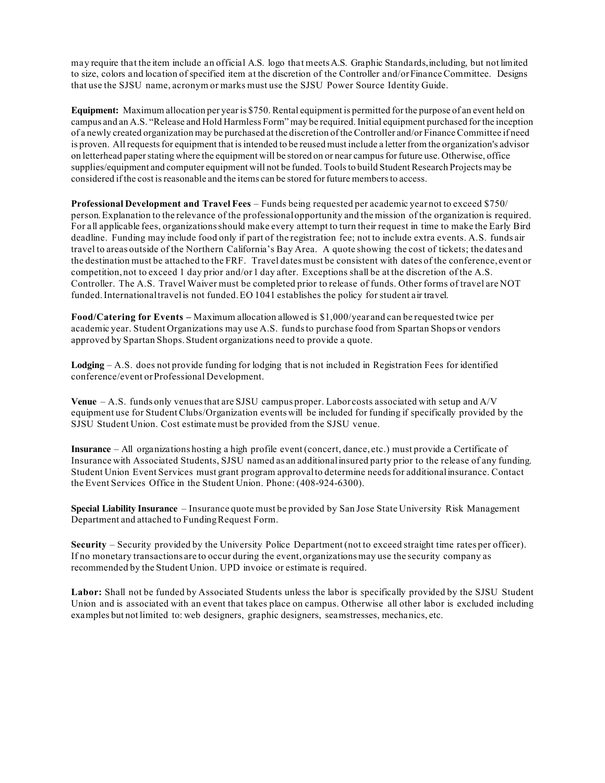may require that the item include an official A.S. logo that meets A.S. Graphic Standards, including, but not limited to size, colors and location of specified item at the discretion of the Controller and/or Finance Committee. Designs that use the SJSU name, acronym or marks must use the SJSU Power Source Identity Guide.

**Equipment:** Maximum allocation per year is \$750. Rental equipment is permitted for the purpose of an event held on campus and an A.S. "Release and Hold Harmless Form" may be required. Initial equipment purchased for the inception of a newly created organization may be purchased at the discretion of the Controller and/or Finance Committee if need is proven. All requests for equipment that is intended to be reused must include a letter from the organization's advisor on letterhead paper stating where the equipment will be stored on or near campus for future use. Otherwise, office supplies/equipment and computer equipment will not be funded. Tools to build Student Research Projects may be considered if the cost is reasonable and the items can be stored for future members to access.

**Professional Development and Travel Fees** – Funds being requested per academic year not to exceed \$750/ person.Explanation to the relevance of the professional opportunity and the mission of the organization is required. For all applicable fees, organizations should make every attempt to turn their request in time to make the Early Bird deadline. Funding may include food only if part of the registration fee; not to include extra events. A.S. funds air travel to areas outside of the Northern California's Bay Area. A quote showing the cost of tickets; the dates and the destination must be attached to the FRF. Travel dates must be consistent with dates of the conference, event or competition, not to exceed 1 day prior and/or 1 day after. Exceptions shall be at the discretion of the A.S. Controller. The A.S. Travel Waiver must be completed prior to release of funds. Other forms of travel are NOT funded. International travelis not funded. EO 1041 establishes the policy for student air travel.

**Food/Catering for Events –** Maximum allocation allowed is \$1,000/year and can be requested twice per academic year. Student Organizations may use A.S. funds to purchase food from Spartan Shops or vendors approved by Spartan Shops. Student organizations need to provide a quote.

**Lodging** – A.S. does not provide funding for lodging that is not included in Registration Fees for identified conference/event or Professional Development.

**Venue** – A.S. funds only venues that are SJSU campus proper. Labor costs associated with setup and A/V equipment use for Student Clubs/Organization events will be included for funding if specifically provided by the SJSU Student Union. Cost estimate must be provided from the SJSU venue.

**Insurance** – All organizations hosting a high profile event (concert, dance, etc.) must provide a Certificate of Insurance with Associated Students, SJSU named as an additionalinsured party prior to the release of any funding. Student Union Event Services must grant program approval to determine needs for additionalinsurance. Contact the Event Services Office in the Student Union. Phone: (408-924-6300).

**Special Liability Insurance** – Insurance quote must be provided by San Jose State University Risk Management Department and attached to Funding Request Form.

**Security** – Security provided by the University Police Department (not to exceed straight time rates per officer). If no monetary transactions are to occur during the event, organizations may use the security company as recommended by the Student Union. UPD invoice or estimate is required.

**Labor:** Shall not be funded by Associated Students unless the labor is specifically provided by the SJSU Student Union and is associated with an event that takes place on campus. Otherwise all other labor is excluded including examples but not limited to: web designers, graphic designers, seamstresses, mechanics, etc.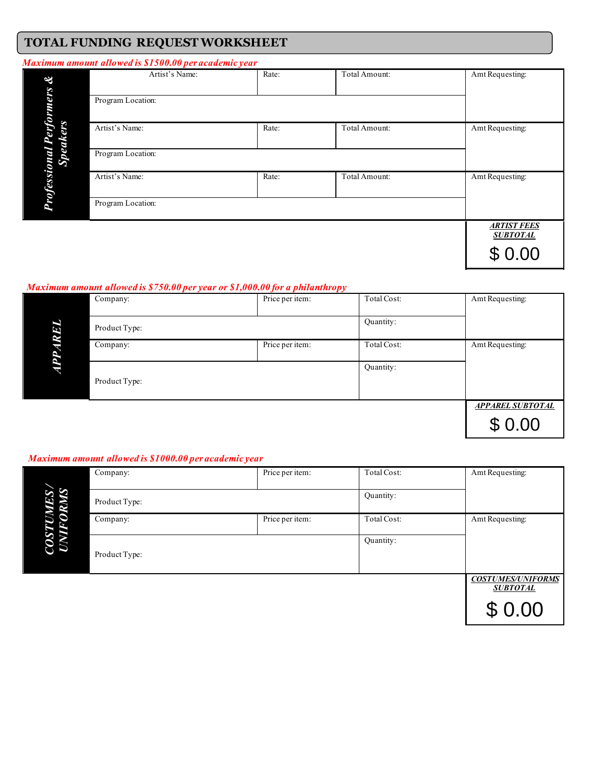# **TOTAL FUNDING REQUEST WORKSHEET**

#### *Maximum amount allowed is \$1500.00 per academic year*

| &               | Artist's Name:    | Rate: | Total Amount: | Amt Requesting:                       |
|-----------------|-------------------|-------|---------------|---------------------------------------|
| rmers           | Program Location: |       |               |                                       |
| <b>Speakers</b> | Artist's Name:    | Rate: | Total Amount: | Amt Requesting:                       |
| ω               | Program Location: |       |               |                                       |
| Profession      | Artist's Name:    | Rate: | Total Amount: | Amt Requesting:                       |
|                 | Program Location: |       |               |                                       |
|                 |                   |       |               | <b>ARTIST FEES</b><br><b>SUBTOTAL</b> |
|                 |                   |       |               | \$0.00                                |

#### *Maximum amount allowed is \$750.00 per year or \$1,000.00 for a philanthropy*

|        | Company:      | Price per item: | Total Cost: | Amt Requesting:                   |
|--------|---------------|-----------------|-------------|-----------------------------------|
| Ø<br>c | Product Type: |                 | Quantity:   |                                   |
|        | Company:      | Price per item: | Total Cost: | Amt Requesting:                   |
|        | Product Type: |                 | Quantity:   |                                   |
|        |               |                 |             | <b>APPAREL SUBTOTAL</b><br>\$0.00 |

#### *Maximum amount allowed is \$1000.00 per academic year*

|                | Company:      | Price per item: | Total Cost: | Amt Requesting:                             |
|----------------|---------------|-----------------|-------------|---------------------------------------------|
| <b>S</b><br>5S | Product Type: |                 | Quantity:   |                                             |
|                | Company:      | Price per item: | Total Cost: | Amt Requesting:                             |
| COS<br>UNI     | Product Type: |                 | Quantity:   |                                             |
|                |               |                 |             | <b>COSTUMES/UNIFORMS</b><br><b>SUBTOTAL</b> |
|                |               |                 |             | \$0.00                                      |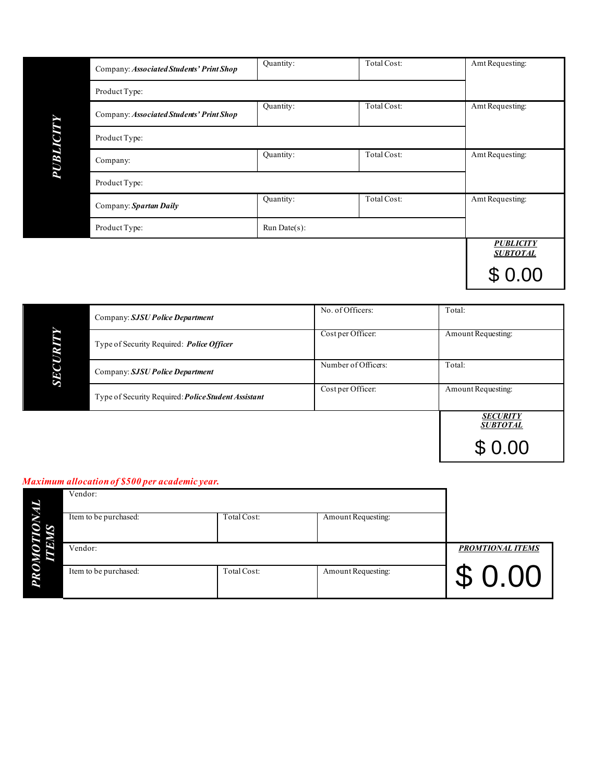|          | Company: Associated Students' Print Shop | Quantity:    | Total Cost: | Amt Requesting:                     |
|----------|------------------------------------------|--------------|-------------|-------------------------------------|
|          | Product Type:                            |              |             |                                     |
|          | Company: Associated Students' Print Shop | Quantity:    | Total Cost: | Amt Requesting:                     |
|          | Product Type:                            |              |             |                                     |
| PUBLICIT | Company:                                 | Quantity:    | Total Cost: | Amt Requesting:                     |
|          | Product Type:                            |              |             |                                     |
|          | Company: Spartan Daily                   | Quantity:    | Total Cost: | Amt Requesting:                     |
|          | Product Type:                            | Run Date(s): |             |                                     |
|          |                                          |              |             | <b>PUBLICITY</b><br><b>SUBTOTAL</b> |
|          |                                          |              |             |                                     |

|            | Company: SJSU Police Department                            | No. of Officers:    | Total:                             |
|------------|------------------------------------------------------------|---------------------|------------------------------------|
| œ          | Type of Security Required: Police Officer                  | Cost per Officer:   | Amount Requesting:                 |
| <b>SEC</b> | Company: SJSU Police Department                            | Number of Officers: | Total:                             |
|            | Type of Security Required: <i>Police Student Assistant</i> | Cost per Officer:   | Amount Requesting:                 |
|            |                                                            |                     | <b>SECURITY</b><br><b>SUBTOTAL</b> |
|            |                                                            |                     | \$0.00                             |

#### *Maximum allocation of \$500 per academic year.*

| Vendor:               |             |                    |                         |
|-----------------------|-------------|--------------------|-------------------------|
| Item to be purchased: | Total Cost: | Amount Requesting: |                         |
| Vendor:               |             |                    | <b>PROMTIONAL ITEMS</b> |
| Item to be purchased: | Total Cost: | Amount Requesting: | \$0.00                  |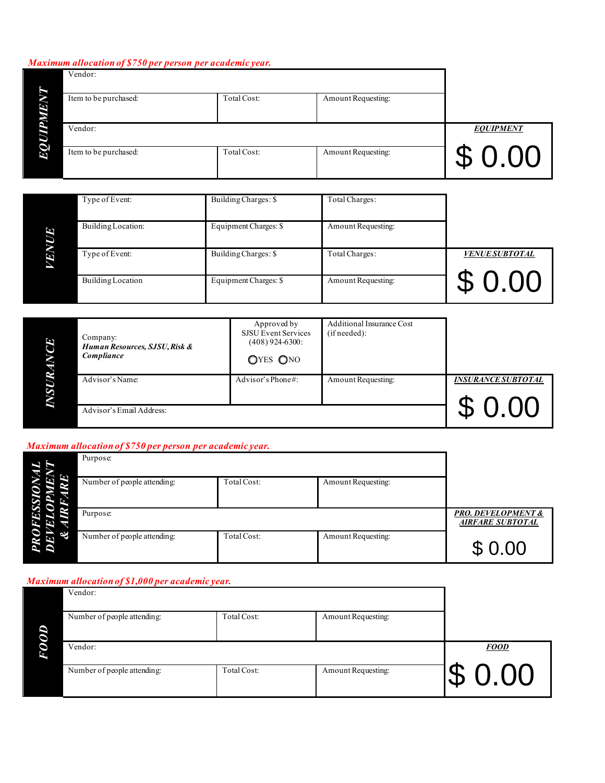## *Maximum allocation of \$750 per person per academic year.*

| Vendor:               |             |                    |                  |
|-----------------------|-------------|--------------------|------------------|
| Item to be purchased: | Total Cost: | Amount Requesting: |                  |
| Vendor:               |             |                    | <b>EOUIPMENT</b> |
| Item to be purchased: | Total Cost: | Amount Requesting: | \$0.00           |

|     | Type of Event:           | Building Charges: \$  | Total Charges:            |                       |
|-----|--------------------------|-----------------------|---------------------------|-----------------------|
| ίτ٦ | Building Location:       | Equipment Charges: \$ | Amount Requesting:        |                       |
| 55  | Type of Event:           | Building Charges: \$  | Total Charges:            | <b>VENUE SUBTOTAL</b> |
|     | <b>Building Location</b> | Equipment Charges: \$ | <b>Amount Requesting:</b> |                       |

| 3 | Company:<br>Human Resources, SJSU, Risk &<br>Compliance | Approved by<br>SJSU Event Services<br>$(408)$ 924-6300:<br>OYES ONO | Additional Insurance Cost<br>(if needed): |                           |
|---|---------------------------------------------------------|---------------------------------------------------------------------|-------------------------------------------|---------------------------|
|   | Advisor's Name:                                         | Advisor's Phone#:                                                   | Amount Requesting:                        | <b>INSURANCE SUBTOTAL</b> |
|   | Advisor's Email Address:                                |                                                                     |                                           | $\bigcap$                 |

# *Maximum allocation of \$750 per person per academic year.*

|           | Purpose:                    |                                                          |                    |        |
|-----------|-----------------------------|----------------------------------------------------------|--------------------|--------|
|           | Number of people attending: | Total Cost:                                              | Amount Requesting: |        |
|           | Purpose:                    | <b>PRO. DEVELOPMENT &amp;</b><br><b>AIRFARE SUBTOTAL</b> |                    |        |
| $\approx$ | Number of people attending: | Total Cost:                                              | Amount Requesting: | \$0.00 |

## *Maximum allocation of \$1,000 per academic year.*

| Vendor:                     |             |                    |             |  |  |
|-----------------------------|-------------|--------------------|-------------|--|--|
| Number of people attending: | Total Cost: | Amount Requesting: |             |  |  |
| Vendor:                     |             |                    | <b>FOOD</b> |  |  |
| Number of people attending: | Total Cost: | Amount Requesting: | 0.00        |  |  |